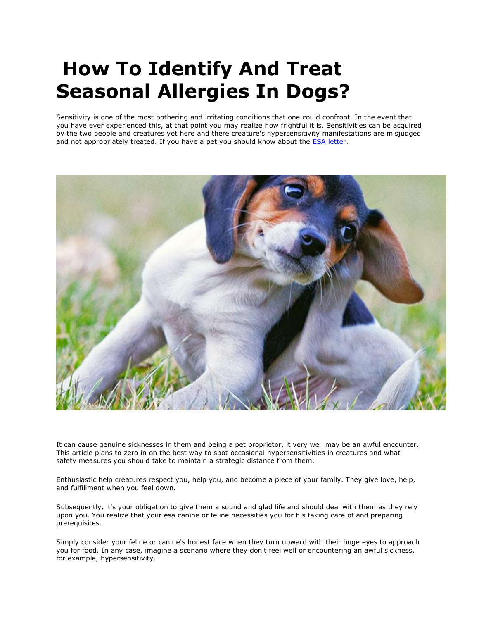# **How To Identify And Treat Seasonal Allergies In Dogs?**

Sensitivity is one of the most bothering and irritating conditions that one could confront. In the event that you have ever experienced this, at that point you may realize how frightful it is. Sensitivities can be acquired by the two people and creatures yet here and there creature's hypersensitivity manifestations are misjudged and not appropriately treated. If you have a pet you should know about the **ESA letter**.



It can cause genuine sicknesses in them and being a pet proprietor, it very well may be an awful encounter. This article plans to zero in on the best way to spot occasional hypersensitivities in creatures and what safety measures you should take to maintain a strategic distance from them.

Enthusiastic help creatures respect you, help you, and become a piece of your family. They give love, help, and fulfillment when you feel down.

Subsequently, it's your obligation to give them a sound and glad life and should deal with them as they rely upon you. You realize that your esa canine or feline necessities you for his taking care of and preparing prerequisites.

Simply consider your feline or canine's honest face when they turn upward with their huge eyes to approach you for food. In any case, imagine a scenario where they don't feel well or encountering an awful sickness, for example, hypersensitivity.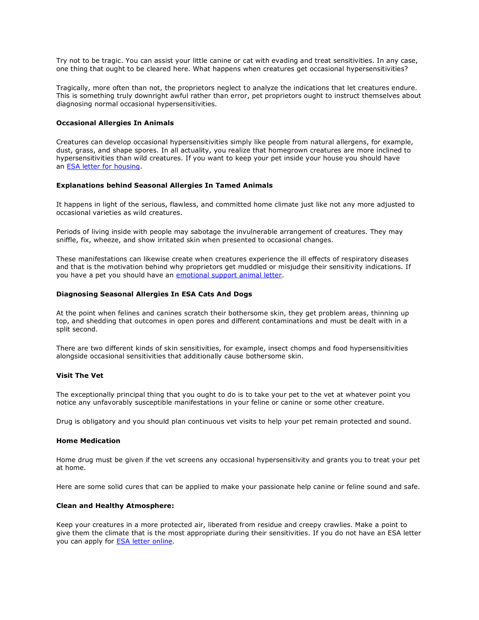Try not to be tragic. You can assist your little canine or cat with evading and treat sensitivities. In any case, one thing that ought to be cleared here. What happens when creatures get occasional hypersensitivities?

Tragically, more often than not, the proprietors neglect to analyze the indications that let creatures endure. This is something truly downright awful rather than error, pet proprietors ought to instruct themselves about diagnosing normal occasional hypersensitivities.

## **Occasional Allergies In Animals**

Creatures can develop occasional hypersensitivities simply like people from natural allergens, for example, dust, grass, and shape spores. In all actuality, you realize that homegrown creatures are more inclined to hypersensitivities than wild creatures. If you want to keep your pet inside your house you should have an [ESA letter for housing.](https://www.realesaletter.com/sample-esa-letter)

## **Explanations behind Seasonal Allergies In Tamed Animals**

It happens in light of the serious, flawless, and committed home climate just like not any more adjusted to occasional varieties as wild creatures.

Periods of living inside with people may sabotage the invulnerable arrangement of creatures. They may sniffle, fix, wheeze, and show irritated skin when presented to occasional changes.

These manifestations can likewise create when creatures experience the ill effects of respiratory diseases and that is the motivation behind why proprietors get muddled or misjudge their sensitivity indications. If you have a pet you should have an [emotional support animal letter.](https://www.realesaletter.com/sample-esa-letter)

## **Diagnosing Seasonal Allergies In ESA Cats And Dogs**

At the point when felines and canines scratch their bothersome skin, they get problem areas, thinning up top, and shedding that outcomes in open pores and different contaminations and must be dealt with in a split second.

There are two different kinds of skin sensitivities, for example, insect chomps and food hypersensitivities alongside occasional sensitivities that additionally cause bothersome skin.

#### **Visit The Vet**

The exceptionally principal thing that you ought to do is to take your pet to the vet at whatever point you notice any unfavorably susceptible manifestations in your feline or canine or some other creature.

Drug is obligatory and you should plan continuous vet visits to help your pet remain protected and sound.

#### **Home Medication**

Home drug must be given if the vet screens any occasional hypersensitivity and grants you to treat your pet at home.

Here are some solid cures that can be applied to make your passionate help canine or feline sound and safe.

## **Clean and Healthy Atmosphere:**

Keep your creatures in a more protected air, liberated from residue and creepy crawlies. Make a point to give them the climate that is the most appropriate during their sensitivities. If you do not have an ESA letter you can apply for [ESA letter online.](https://www.realesaletter.com/sample-esa-letter)